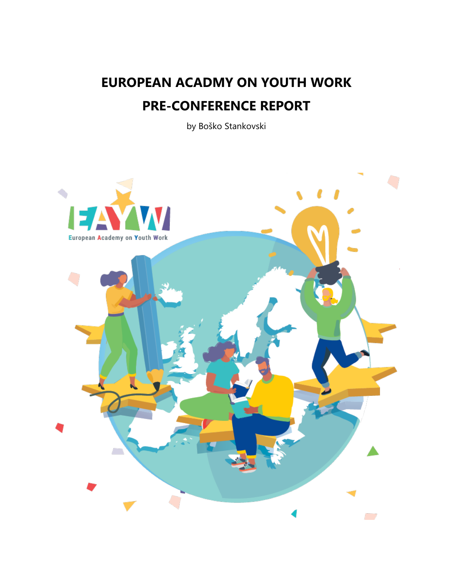# **EUROPEAN ACADMY ON YOUTH WORK PRE-CONFERENCE REPORT**

by Boško Stankovski

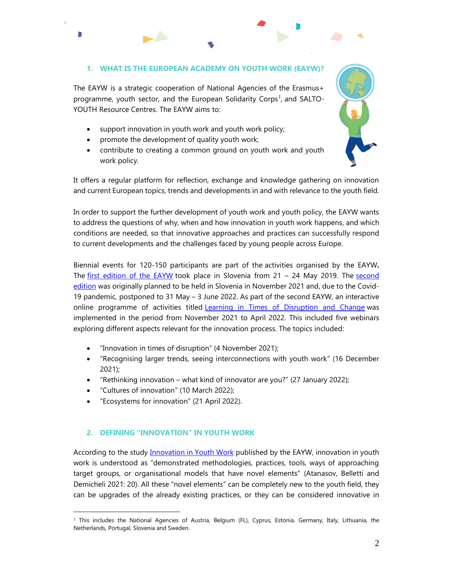## **1. WHAT IS THE EUROPEAN ACADEMY ON YOUTH WORK (EAYW)?**

The EAYW is a strategic cooperation of National Agencies of the Erasmus+ programme, youth sector, and the European Solidarity Corps<sup>1</sup>, and SALTO-YOUTH Resource Centres. The EAYW aims to:

- support innovation in youth work and youth work policy;
- promote the development of quality youth work;
- contribute to creating a common ground on youth work and youth work policy.



It offers a regular platform for reflection, exchange and knowledge gathering on innovation and current European topics, trends and developments in and with relevance to the youth field.

In order to support the further development of youth work and youth policy, the EAYW wants to address the questions of why, when and how innovation in youth work happens, and which conditions are needed, so that innovative approaches and practices can successfully respond to current developments and the challenges faced by young people across Europe.

Biennial events for 120-150 participants are part of the activities organised by the EAYW**.** The [first edition of the EAYW](https://www.eayw.net/activities/eayw-the-first-edition-2019/) took place in Slovenia from 21 - 24 May 2019. The second [edition](https://www.eayw.net/activities/eayw-the-2nd-edition-2021/) was originally planned to be held in Slovenia in November 2021 and, due to the Covid-19 pandemic, postponed to 31 May – 3 June 2022. As part of the second EAYW, an interactive online programme of activities titled [Learning in Times of Disruption and Change](https://www.eayw.net/eayw-changes/) was implemented in the period from November 2021 to April 2022. This included five webinars exploring different aspects relevant for the innovation process. The topics included:

- "Innovation in times of disruption" (4 November 2021);
- "Recognising larger trends, seeing interconnections with youth work" (16 December 2021);
- "Rethinking innovation what kind of innovator are you?" (27 January 2022);
- "Cultures of innovation" (10 March 2022);

 $\overline{a}$ 

Г

"Ecosystems for innovation" (21 April 2022).

## **2. DEFINING "INNOVATION" IN YOUTH WORK**

According to the study [Innovation in Youth Work](https://www.eayw.net/wp-content/uploads/2022/02/EAYW-Study-final-report-2022-ISBN.pdf) published by the EAYW, innovation in youth work is understood as "demonstrated methodologies, practices, tools, ways of approaching target groups, or organisational models that have novel elements" (Atanasov, Belletti and Demicheli 2021: 20). All these "novel elements" can be completely new to the youth field, they can be upgrades of the already existing practices, or they can be considered innovative in

<sup>1</sup> This includes the National Agencies of Austria, Belgium (FL), Cyprus, Estonia, Germany, Italy, Lithuania, the Netherlands, Portugal, Slovenia and Sweden.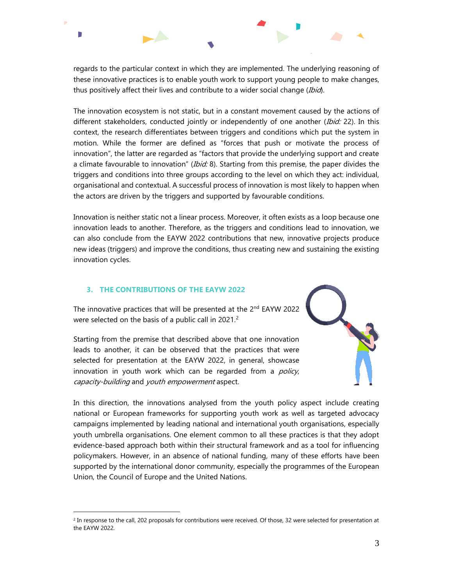Г

regards to the particular context in which they are implemented. The underlying reasoning of these innovative practices is to enable youth work to support young people to make changes, thus positively affect their lives and contribute to a wider social change (Ibid).

The innovation ecosystem is not static, but in a constant movement caused by the actions of different stakeholders, conducted jointly or independently of one another (Ibid: 22). In this context, the research differentiates between triggers and conditions which put the system in motion. While the former are defined as "forces that push or motivate the process of innovation", the latter are regarded as "factors that provide the underlying support and create a climate favourable to innovation" (*Ibid: 8*). Starting from this premise, the paper divides the triggers and conditions into three groups according to the level on which they act: individual, organisational and contextual. A successful process of innovation is most likely to happen when the actors are driven by the triggers and supported by favourable conditions.

Innovation is neither static not a linear process. Moreover, it often exists as a loop because one innovation leads to another. Therefore, as the triggers and conditions lead to innovation, we can also conclude from the EAYW 2022 contributions that new, innovative projects produce new ideas (triggers) and improve the conditions, thus creating new and sustaining the existing innovation cycles.

## **3. THE CONTRIBUTIONS OF THE EAYW 2022**

 $\overline{a}$ 

The innovative practices that will be presented at the 2<sup>nd</sup> EAYW 2022 were selected on the basis of a public call in 2021.<sup>2</sup>

Starting from the premise that described above that one innovation leads to another, it can be observed that the practices that were selected for presentation at the EAYW 2022, in general, showcase innovation in youth work which can be regarded from a *policy*, capacity-building and youth empowerment aspect.



 $2$  In response to the call, 202 proposals for contributions were received. Of those, 32 were selected for presentation at the EAYW 2022.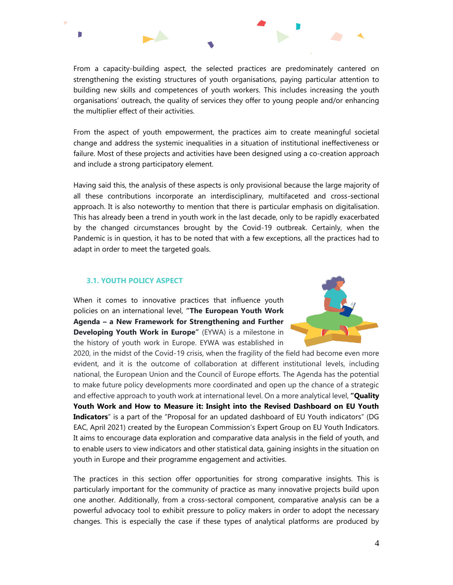From a capacity-building aspect, the selected practices are predominately cantered on strengthening the existing structures of youth organisations, paying particular attention to building new skills and competences of youth workers. This includes increasing the youth organisations' outreach, the quality of services they offer to young people and/or enhancing the multiplier effect of their activities.

From the aspect of youth empowerment, the practices aim to create meaningful societal change and address the systemic inequalities in a situation of institutional ineffectiveness or failure. Most of these projects and activities have been designed using a co-creation approach and include a strong participatory element.

Having said this, the analysis of these aspects is only provisional because the large majority of all these contributions incorporate an interdisciplinary, multifaceted and cross-sectional approach. It is also noteworthy to mention that there is particular emphasis on digitalisation. This has already been a trend in youth work in the last decade, only to be rapidly exacerbated by the changed circumstances brought by the Covid-19 outbreak. Certainly, when the Pandemic is in question, it has to be noted that with a few exceptions, all the practices had to adapt in order to meet the targeted goals.

#### **3.1. YOUTH POLICY ASPECT**

D

When it comes to innovative practices that influence youth policies on an international level, **"The European Youth Work Agenda – a New Framework for Strengthening and Further Developing Youth Work in Europe"** (EYWA) is a milestone in the history of youth work in Europe. EYWA was established in



2020, in the midst of the Covid-19 crisis, when the fragility of the field had become even more evident, and it is the outcome of collaboration at different institutional levels, including national, the European Union and the Council of Europe efforts. The Agenda has the potential to make future policy developments more coordinated and open up the chance of a strategic and effective approach to youth work at international level. On a more analytical level, **"Quality Youth Work and How to Measure it: Insight into the Revised Dashboard on EU Youth Indicators**" is a part of the "Proposal for an updated dashboard of EU Youth indicators" (DG EAC, April 2021) created by the European Commission's Expert Group on EU Youth Indicators. It aims to encourage data exploration and comparative data analysis in the field of youth, and to enable users to view indicators and other statistical data, gaining insights in the situation on youth in Europe and their programme engagement and activities.

The practices in this section offer opportunities for strong comparative insights. This is particularly important for the community of practice as many innovative projects build upon one another. Additionally, from a cross-sectoral component, comparative analysis can be a powerful advocacy tool to exhibit pressure to policy makers in order to adopt the necessary changes. This is especially the case if these types of analytical platforms are produced by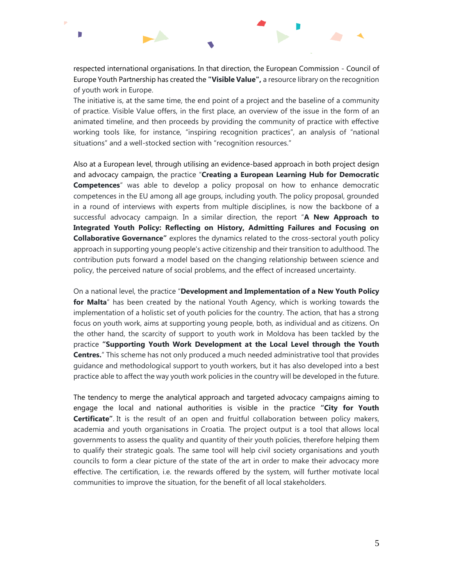D - 8

respected international organisations. In that direction, the European Commission - Council of Europe Youth Partnership has created the **"Visible Value",** a resource library on the recognition of youth work in Europe.

The initiative is, at the same time, the end point of a project and the baseline of a community of practice. Visible Value offers, in the first place, an overview of the issue in the form of an animated timeline, and then proceeds by providing the community of practice with effective working tools like, for instance, "inspiring recognition practices", an analysis of "national situations" and a well-stocked section with "recognition resources."

Also at a European level, through utilising an evidence-based approach in both project design and advocacy campaign, the practice "**Creating a European Learning Hub for Democratic Competences**" was able to develop a policy proposal on how to enhance democratic competences in the EU among all age groups, including youth. The policy proposal, grounded in a round of interviews with experts from multiple disciplines, is now the backbone of a successful advocacy campaign. In a similar direction, the report "**A New Approach to Integrated Youth Policy: Reflecting on History, Admitting Failures and Focusing on Collaborative Governance"** explores the dynamics related to the cross-sectoral youth policy approach in supporting young people's active citizenship and their transition to adulthood. The contribution puts forward a model based on the changing relationship between science and policy, the perceived nature of social problems, and the effect of increased uncertainty.

On a national level, the practice "**Development and Implementation of a New Youth Policy for Malta**" has been created by the national Youth Agency, which is working towards the implementation of a holistic set of youth policies for the country. The action, that has a strong focus on youth work, aims at supporting young people, both, as individual and as citizens. On the other hand, the scarcity of support to youth work in Moldova has been tackled by the practice **"Supporting Youth Work Development at the Local Level through the Youth Centres.**" This scheme has not only produced a much needed administrative tool that provides guidance and methodological support to youth workers, but it has also developed into a best practice able to affect the way youth work policies in the country will be developed in the future.

The tendency to merge the analytical approach and targeted advocacy campaigns aiming to engage the local and national authorities is visible in the practice **"City for Youth Certificate"**. It is the result of an open and fruitful collaboration between policy makers, academia and youth organisations in Croatia. The project output is a tool that allows local governments to assess the quality and quantity of their youth policies, therefore helping them to qualify their strategic goals. The same tool will help civil society organisations and youth councils to form a clear picture of the state of the art in order to make their advocacy more effective. The certification, i.e. the rewards offered by the system, will further motivate local communities to improve the situation, for the benefit of all local stakeholders.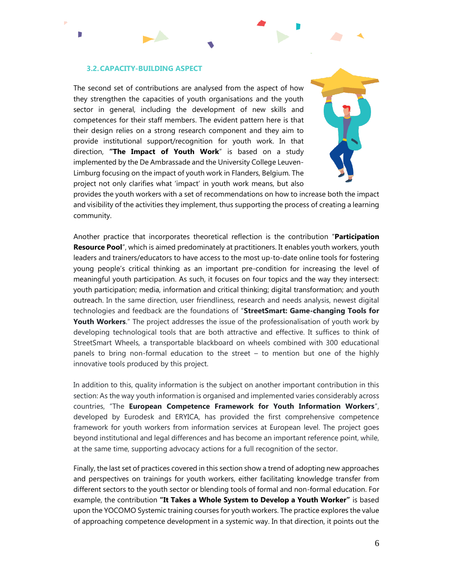#### **3.2.CAPACITY-BUILDING ASPECT**

Г

The second set of contributions are analysed from the aspect of how they strengthen the capacities of youth organisations and the youth sector in general, including the development of new skills and competences for their staff members. The evident pattern here is that their design relies on a strong research component and they aim to provide institutional support/recognition for youth work. In that direction, **"The Impact of Youth Work**" is based on a study implemented by the De Ambrassade and the University College Leuven-Limburg focusing on the impact of youth work in Flanders, Belgium. The project not only clarifies what 'impact' in youth work means, but also



provides the youth workers with a set of recommendations on how to increase both the impact and visibility of the activities they implement, thus supporting the process of creating a learning community.

Another practice that incorporates theoretical reflection is the contribution "**Participation Resource Pool**", which is aimed predominately at practitioners. It enables youth workers, youth leaders and trainers/educators to have access to the most up-to-date online tools for fostering young people's critical thinking as an important pre-condition for increasing the level of meaningful youth participation. As such, it focuses on four topics and the way they intersect: youth participation; media, information and critical thinking; digital transformation; and youth outreach. In the same direction, user friendliness, research and needs analysis, newest digital technologies and feedback are the foundations of "**StreetSmart: Game-changing Tools for Youth Workers**." The project addresses the issue of the professionalisation of youth work by developing technological tools that are both attractive and effective. It suffices to think of StreetSmart Wheels, a transportable blackboard on wheels combined with 300 educational panels to bring non-formal education to the street – to mention but one of the highly innovative tools produced by this project.

In addition to this, quality information is the subject on another important contribution in this section: As the way youth information is organised and implemented varies considerably across countries, "The **European Competence Framework for Youth Information Workers**", developed by Eurodesk and ERYICA, has provided the first comprehensive competence framework for youth workers from information services at European level. The project goes beyond institutional and legal differences and has become an important reference point, while, at the same time, supporting advocacy actions for a full recognition of the sector.

Finally, the last set of practices covered in this section show a trend of adopting new approaches and perspectives on trainings for youth workers, either facilitating knowledge transfer from different sectors to the youth sector or blending tools of formal and non-formal education. For example, the contribution **"It Takes a Whole System to Develop a Youth Worker"** is based upon the YOCOMO Systemic training courses for youth workers. The practice explores the value of approaching competence development in a systemic way. In that direction, it points out the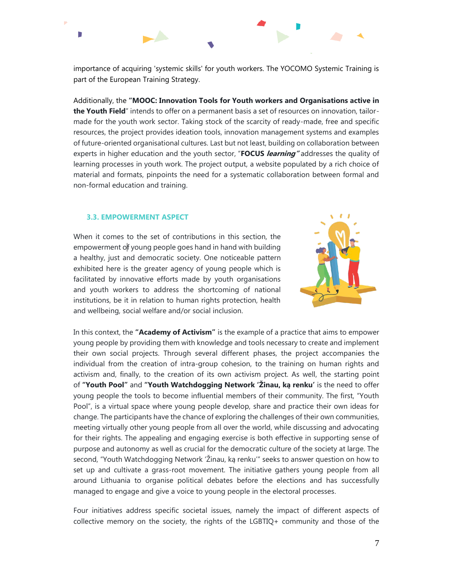importance of acquiring 'systemic skills' for youth workers. The YOCOMO Systemic Training is part of the European Training Strategy.

Additionally, the **"MOOC: Innovation Tools for Youth workers and Organisations active in the Youth Field**" intends to offer on a permanent basis a set of resources on innovation, tailormade for the youth work sector. Taking stock of the scarcity of ready-made, free and specific resources, the project provides ideation tools, innovation management systems and examples of future-oriented organisational cultures. Last but not least, building on collaboration between experts in higher education and the youth sector, "**FOCUS learning"** addresses the quality of learning processes in youth work. The project output, a website populated by a rich choice of material and formats, pinpoints the need for a systematic collaboration between formal and non-formal education and training.

#### **3.3. EMPOWERMENT ASPECT**

D

When it comes to the set of contributions in this section, the empowerment of young people goes hand in hand with building a healthy, just and democratic society. One noticeable pattern exhibited here is the greater agency of young people which is facilitated by innovative efforts made by youth organisations and youth workers to address the shortcoming of national institutions, be it in relation to human rights protection, health and wellbeing, social welfare and/or social inclusion.



In this context, the **"Academy of Activism"** is the example of a practice that aims to empower young people by providing them with knowledge and tools necessary to create and implement their own social projects. Through several different phases, the project accompanies the individual from the creation of intra-group cohesion, to the training on human rights and activism and, finally, to the creation of its own activism project. As well, the starting point of **"Youth Pool"** and **"Youth Watchdogging Network 'Žinau, ką renku'** is the need to offer young people the tools to become influential members of their community. The first, "Youth Pool", is a virtual space where young people develop, share and practice their own ideas for change. The participants have the chance of exploring the challenges of their own communities, meeting virtually other young people from all over the world, while discussing and advocating for their rights. The appealing and engaging exercise is both effective in supporting sense of purpose and autonomy as well as crucial for the democratic culture of the society at large. The second, "Youth Watchdogging Network 'Žinau, ką renku'" seeks to answer question on how to set up and cultivate a grass-root movement. The initiative gathers young people from all around Lithuania to organise political debates before the elections and has successfully managed to engage and give a voice to young people in the electoral processes.

Four initiatives address specific societal issues, namely the impact of different aspects of collective memory on the society, the rights of the LGBTIQ+ community and those of the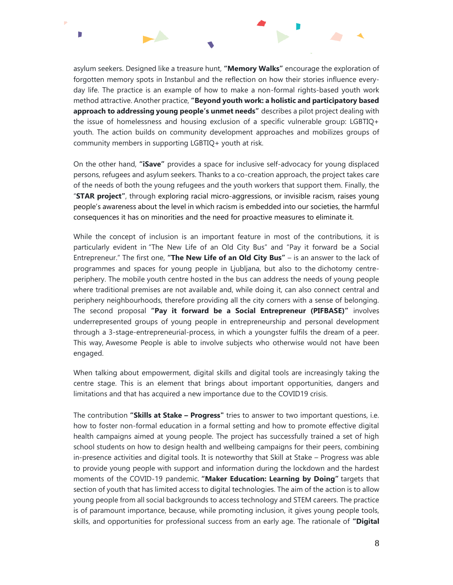

asylum seekers. Designed like a treasure hunt, **"Memory Walks"** encourage the exploration of forgotten memory spots in Instanbul and the reflection on how their stories influence everyday life. The practice is an example of how to make a non-formal rights-based youth work method attractive. Another practice, **"Beyond youth work: a holistic and participatory based approach to addressing young people's unmet needs"** describes a pilot project dealing with the issue of homelessness and housing exclusion of a specific vulnerable group: LGBTIQ+ youth. The action builds on community development approaches and mobilizes groups of community members in supporting LGBTIQ+ youth at risk.

On the other hand, **"iSave"** provides a space for inclusive self-advocacy for young displaced persons, refugees and asylum seekers. Thanks to a co-creation approach, the project takes care of the needs of both the young refugees and the youth workers that support them. Finally, the "**STAR project"**, through exploring racial micro-aggressions, or invisible racism, raises young people's awareness about the level in which racism is embedded into our societies, the harmful consequences it has on minorities and the need for proactive measures to eliminate it.

While the concept of inclusion is an important feature in most of the contributions, it is particularly evident in "The New Life of an Old City Bus" and "Pay it forward be a Social Entrepreneur." The first one, **"The New Life of an Old City Bus"** – is an answer to the lack of programmes and spaces for young people in Ljubljana, but also to the dichotomy centreperiphery. The mobile youth centre hosted in the bus can address the needs of young people where traditional premises are not available and, while doing it, can also connect central and periphery neighbourhoods, therefore providing all the city corners with a sense of belonging. The second proposal **"Pay it forward be a Social Entrepreneur (PIFBASE)"** involves underrepresented groups of young people in entrepreneurship and personal development through a 3-stage-entrepreneurial-process, in which a youngster fulfils the dream of a peer. This way, Awesome People is able to involve subjects who otherwise would not have been engaged.

When talking about empowerment, digital skills and digital tools are increasingly taking the centre stage. This is an element that brings about important opportunities, dangers and limitations and that has acquired a new importance due to the COVID19 crisis.

The contribution **"Skills at Stake – Progress"** tries to answer to two important questions, i.e. how to foster non-formal education in a formal setting and how to promote effective digital health campaigns aimed at young people. The project has successfully trained a set of high school students on how to design health and wellbeing campaigns for their peers, combining in-presence activities and digital tools. It is noteworthy that Skill at Stake – Progress was able to provide young people with support and information during the lockdown and the hardest moments of the COVID-19 pandemic. **"Maker Education: Learning by Doing"** targets that section of youth that has limited access to digital technologies. The aim of the action is to allow young people from all social backgrounds to access technology and STEM careers. The practice is of paramount importance, because, while promoting inclusion, it gives young people tools, skills, and opportunities for professional success from an early age. The rationale of **"Digital**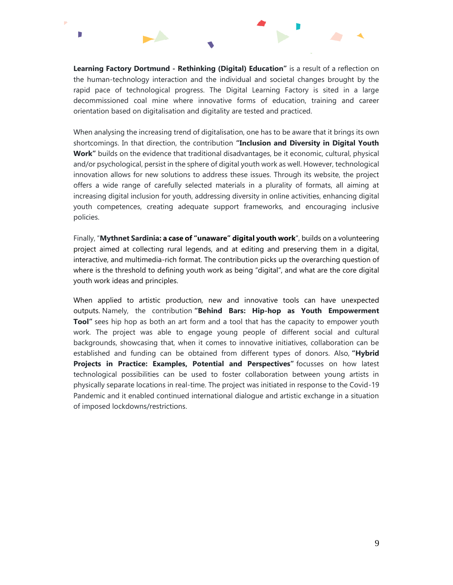**Learning Factory Dortmund - Rethinking (Digital) Education"** is a result of a reflection on the human-technology interaction and the individual and societal changes brought by the rapid pace of technological progress. The Digital Learning Factory is sited in a large decommissioned coal mine where innovative forms of education, training and career orientation based on digitalisation and digitality are tested and practiced.

D

When analysing the increasing trend of digitalisation, one has to be aware that it brings its own shortcomings. In that direction, the contribution **"Inclusion and Diversity in Digital Youth Work"** builds on the evidence that traditional disadvantages, be it economic, cultural, physical and/or psychological, persist in the sphere of digital youth work as well. However, technological innovation allows for new solutions to address these issues. Through its website, the project offers a wide range of carefully selected materials in a plurality of formats, all aiming at increasing digital inclusion for youth, addressing diversity in online activities, enhancing digital youth competences, creating adequate support frameworks, and encouraging inclusive policies.

Finally, "**Mythnet Sardinia: a case of "unaware" digital youth work**", builds on a volunteering project aimed at collecting rural legends, and at editing and preserving them in a digital, interactive, and multimedia-rich format. The contribution picks up the overarching question of where is the threshold to defining youth work as being "digital", and what are the core digital youth work ideas and principles.

When applied to artistic production, new and innovative tools can have unexpected outputs. Namely, the contribution **"Behind Bars: Hip-hop as Youth Empowerment Tool"** sees hip hop as both an art form and a tool that has the capacity to empower youth work. The project was able to engage young people of different social and cultural backgrounds, showcasing that, when it comes to innovative initiatives, collaboration can be established and funding can be obtained from different types of donors. Also, **"Hybrid Projects in Practice: Examples, Potential and Perspectives"** focusses on how latest technological possibilities can be used to foster collaboration between young artists in physically separate locations in real-time. The project was initiated in response to the Covid-19 Pandemic and it enabled continued international dialogue and artistic exchange in a situation of imposed lockdowns/restrictions.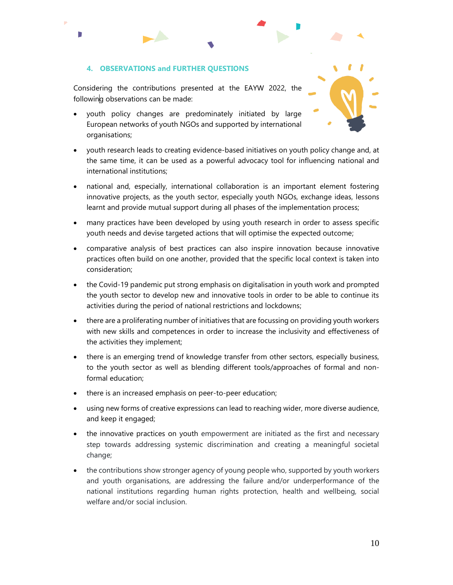## **4. OBSERVATIONS and FURTHER QUESTIONS**

г

Considering the contributions presented at the EAYW 2022, the following observations can be made:

- youth policy changes are predominately initiated by large European networks of youth NGOs and supported by international organisations;
- youth research leads to creating evidence-based initiatives on youth policy change and, at the same time, it can be used as a powerful advocacy tool for influencing national and international institutions;
- national and, especially, international collaboration is an important element fostering innovative projects, as the youth sector, especially youth NGOs, exchange ideas, lessons learnt and provide mutual support during all phases of the implementation process;
- many practices have been developed by using youth research in order to assess specific youth needs and devise targeted actions that will optimise the expected outcome;
- comparative analysis of best practices can also inspire innovation because innovative practices often build on one another, provided that the specific local context is taken into consideration;
- the Covid-19 pandemic put strong emphasis on digitalisation in youth work and prompted the youth sector to develop new and innovative tools in order to be able to continue its activities during the period of national restrictions and lockdowns;
- there are a proliferating number of initiatives that are focussing on providing youth workers with new skills and competences in order to increase the inclusivity and effectiveness of the activities they implement;
- there is an emerging trend of knowledge transfer from other sectors, especially business, to the youth sector as well as blending different tools/approaches of formal and nonformal education;
- there is an increased emphasis on peer-to-peer education;
- using new forms of creative expressions can lead to reaching wider, more diverse audience, and keep it engaged;
- the innovative practices on youth empowerment are initiated as the first and necessary step towards addressing systemic discrimination and creating a meaningful societal change;
- the contributions show stronger agency of young people who, supported by youth workers and youth organisations, are addressing the failure and/or underperformance of the national institutions regarding human rights protection, health and wellbeing, social welfare and/or social inclusion.